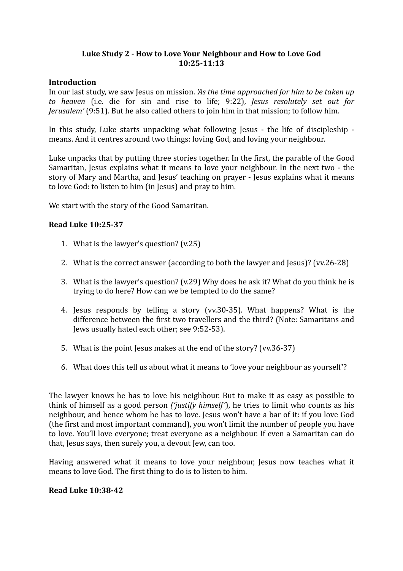# Luke Study 2 - How to Love Your Neighbour and How to Love God **10:25-11:13**

#### **Introduction**

In our last study, we saw Jesus on mission. *'As the time approached for him to be taken up to heaven*  (i.e. die for sin and rise to life; 9:22), *Jesus resolutely set out for Jerusalem'* (9:51). But he also called others to join him in that mission; to follow him.

In this study, Luke starts unpacking what following Jesus - the life of discipleship means. And it centres around two things: loving God, and loving your neighbour.

Luke unpacks that by putting three stories together. In the first, the parable of the Good Samaritan, Jesus explains what it means to love your neighbour. In the next two - the story of Mary and Martha, and Jesus' teaching on prayer - Jesus explains what it means to love God: to listen to him (in Jesus) and pray to him.

We start with the story of the Good Samaritan.

## **Read Luke 10:25-37**

- 1. What is the lawyer's question?  $(v.25)$
- 2. What is the correct answer (according to both the lawyer and Jesus)? (vv.26-28)
- 3. What is the lawyer's question? (v.29) Why does he ask it? What do you think he is trying to do here? How can we be tempted to do the same?
- 4. Jesus responds by telling a story (vv.30-35). What happens? What is the difference between the first two travellers and the third? (Note: Samaritans and Jews usually hated each other; see 9:52-53).
- 5. What is the point lesus makes at the end of the story? (vv.36-37)
- 6. What does this tell us about what it means to 'love your neighbour as yourself'?

The lawyer knows he has to love his neighbour. But to make it as easy as possible to think of himself as a good person *('justify himself'*), he tries to limit who counts as his neighbour, and hence whom he has to love. Jesus won't have a bar of it: if you love God (the first and most important command), you won't limit the number of people you have to love. You'll love everyone; treat everyone as a neighbour. If even a Samaritan can do that, Jesus says, then surely you, a devout Jew, can too.

Having answered what it means to love your neighbour, Jesus now teaches what it means to love God. The first thing to do is to listen to him.

#### **Read Luke 10:38-42**